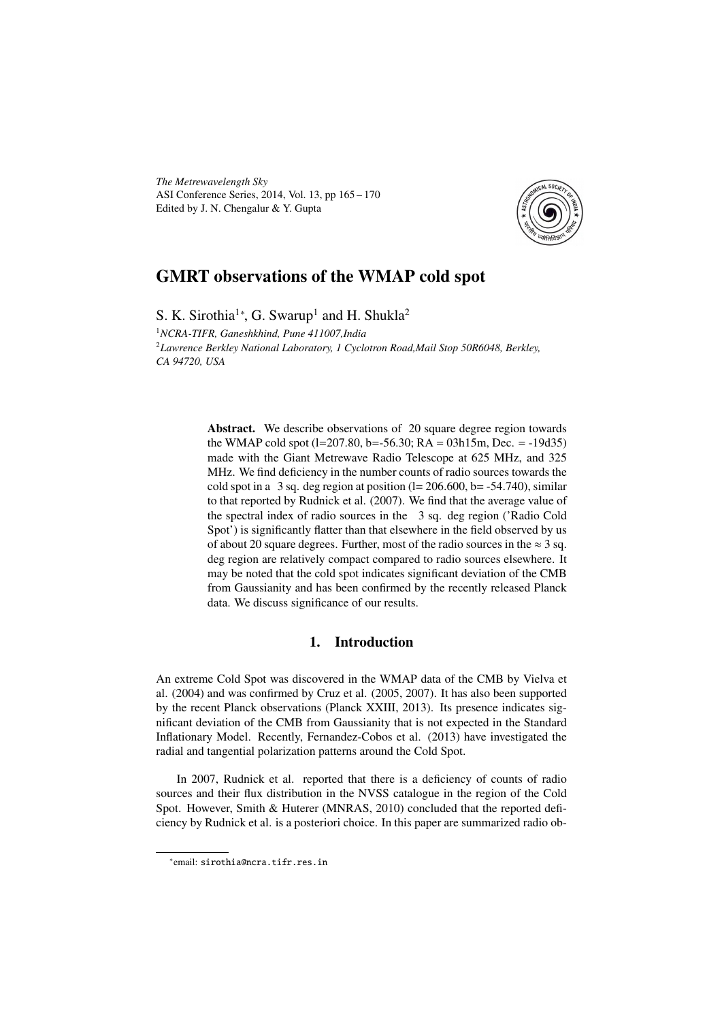*The Metrewavelength Sky* ASI Conference Series, 2014, Vol. 13, pp 165 – 170 Edited by J. N. Chengalur & Y. Gupta



# GMRT observations of the WMAP cold spot

S. K. Sirothia<sup>1</sup>\*, G. Swarup<sup>1</sup> and H. Shukla<sup>2</sup>

<sup>1</sup>*NCRA-TIFR, Ganeshkhind, Pune 411007,India* <sup>2</sup>*Lawrence Berkley National Laboratory, 1 Cyclotron Road,Mail Stop 50R6048, Berkley, CA 94720, USA*

> Abstract. We describe observations of 20 square degree region towards the WMAP cold spot  $(l=207.80, b=-56.30; RA = 03h15m, Dec. = -19d35)$ made with the Giant Metrewave Radio Telescope at 625 MHz, and 325 MHz. We find deficiency in the number counts of radio sources towards the cold spot in a 3 sq. deg region at position  $(l= 206.600, b=-54.740)$ , similar to that reported by Rudnick et al. (2007). We find that the average value of the spectral index of radio sources in the 3 sq. deg region ('Radio Cold Spot') is significantly flatter than that elsewhere in the field observed by us of about 20 square degrees. Further, most of the radio sources in the  $\approx 3$  sq. deg region are relatively compact compared to radio sources elsewhere. It may be noted that the cold spot indicates significant deviation of the CMB from Gaussianity and has been confirmed by the recently released Planck data. We discuss significance of our results.

## 1. Introduction

An extreme Cold Spot was discovered in the WMAP data of the CMB by Vielva et al. (2004) and was confirmed by Cruz et al. (2005, 2007). It has also been supported by the recent Planck observations (Planck XXIII, 2013). Its presence indicates significant deviation of the CMB from Gaussianity that is not expected in the Standard Inflationary Model. Recently, Fernandez-Cobos et al. (2013) have investigated the radial and tangential polarization patterns around the Cold Spot.

In 2007, Rudnick et al. reported that there is a deficiency of counts of radio sources and their flux distribution in the NVSS catalogue in the region of the Cold Spot. However, Smith & Huterer (MNRAS, 2010) concluded that the reported deficiency by Rudnick et al. is a posteriori choice. In this paper are summarized radio ob-

<sup>∗</sup> email: sirothia@ncra.tifr.res.in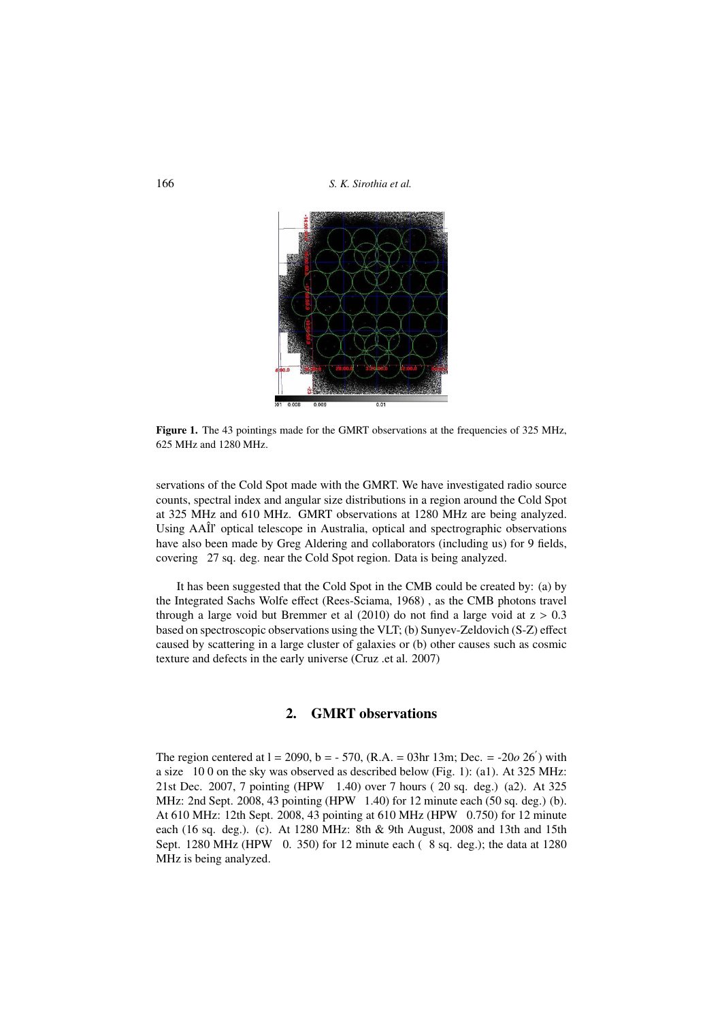166 *S. K. Sirothia et al.*



Figure 1. The 43 pointings made for the GMRT observations at the frequencies of 325 MHz, 625 MHz and 1280 MHz.

servations of the Cold Spot made with the GMRT. We have investigated radio source counts, spectral index and angular size distributions in a region around the Cold Spot at 325 MHz and 610 MHz. GMRT observations at 1280 MHz are being analyzed. Using AAÎl' optical telescope in Australia, optical and spectrographic observations have also been made by Greg Aldering and collaborators (including us) for 9 fields, covering 27 sq. deg. near the Cold Spot region. Data is being analyzed.

It has been suggested that the Cold Spot in the CMB could be created by: (a) by the Integrated Sachs Wolfe effect (Rees-Sciama, 1968) , as the CMB photons travel through a large void but Bremmer et al  $(2010)$  do not find a large void at  $z > 0.3$ based on spectroscopic observations using the VLT; (b) Sunyev-Zeldovich (S-Z) effect caused by scattering in a large cluster of galaxies or (b) other causes such as cosmic texture and defects in the early universe (Cruz .et al. 2007)

#### 2. GMRT observations

The region centered at  $l = 2090$ ,  $b = -570$ , (R.A. = 03hr 13m; Dec. =  $-20026'$ ) with a size 10 0 on the sky was observed as described below (Fig. 1): (a1). At 325 MHz: 21st Dec. 2007, 7 pointing (HPW 1.40) over 7 hours ( 20 sq. deg.) (a2). At 325 MHz: 2nd Sept. 2008, 43 pointing (HPW 1.40) for 12 minute each (50 sq. deg.) (b). At 610 MHz: 12th Sept. 2008, 43 pointing at 610 MHz (HPW 0.750) for 12 minute each (16 sq. deg.). (c). At 1280 MHz: 8th & 9th August, 2008 and 13th and 15th Sept. 1280 MHz (HPW 0. 350) for 12 minute each ( 8 sq. deg.); the data at 1280 MHz is being analyzed.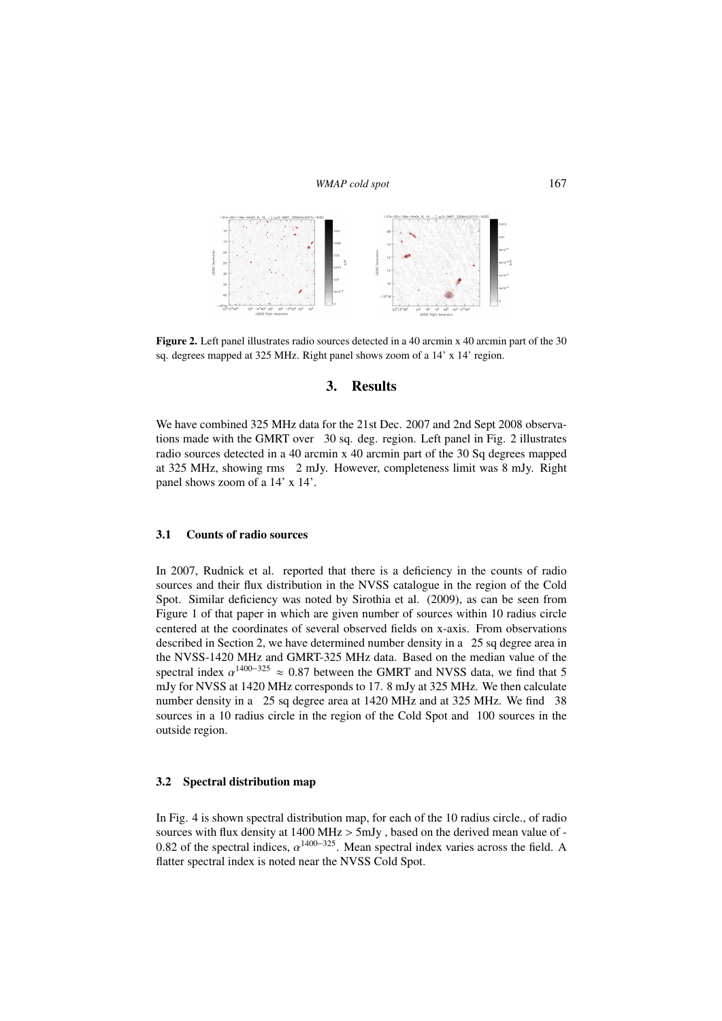*WMAP cold spot* 167



Figure 2. Left panel illustrates radio sources detected in a 40 arcmin x 40 arcmin part of the 30 sq. degrees mapped at 325 MHz. Right panel shows zoom of a 14' x 14' region.

### 3. Results

We have combined 325 MHz data for the 21st Dec. 2007 and 2nd Sept 2008 observations made with the GMRT over 30 sq. deg. region. Left panel in Fig. 2 illustrates radio sources detected in a 40 arcmin x 40 arcmin part of the 30 Sq degrees mapped at 325 MHz, showing rms 2 mJy. However, completeness limit was 8 mJy. Right panel shows zoom of a 14' x 14'.

#### 3.1 Counts of radio sources

In 2007, Rudnick et al. reported that there is a deficiency in the counts of radio sources and their flux distribution in the NVSS catalogue in the region of the Cold Spot. Similar deficiency was noted by Sirothia et al. (2009), as can be seen from Figure 1 of that paper in which are given number of sources within 10 radius circle centered at the coordinates of several observed fields on x-axis. From observations described in Section 2, we have determined number density in a 25 sq degree area in the NVSS-1420 MHz and GMRT-325 MHz data. Based on the median value of the spectral index  $\alpha^{1400-325} \approx 0.87$  between the GMRT and NVSS data, we find that 5<br>mJy for NVSS at 1420 MHz corresponds to 17, 8 mJy at 325 MHz. We then calculate mJy for NVSS at 1420 MHz corresponds to 17. 8 mJy at 325 MHz. We then calculate number density in a 25 sq degree area at 1420 MHz and at 325 MHz. We find 38 sources in a 10 radius circle in the region of the Cold Spot and 100 sources in the outside region.

#### 3.2 Spectral distribution map

In Fig. 4 is shown spectral distribution map, for each of the 10 radius circle., of radio sources with flux density at 1400 MHz > 5mJy , based on the derived mean value of - 0.82 of the spectral indices,  $\alpha^{1400-325}$ . Mean spectral index varies across the field. A flatter spectral index is noted pear the NVSS Cold Spot flatter spectral index is noted near the NVSS Cold Spot.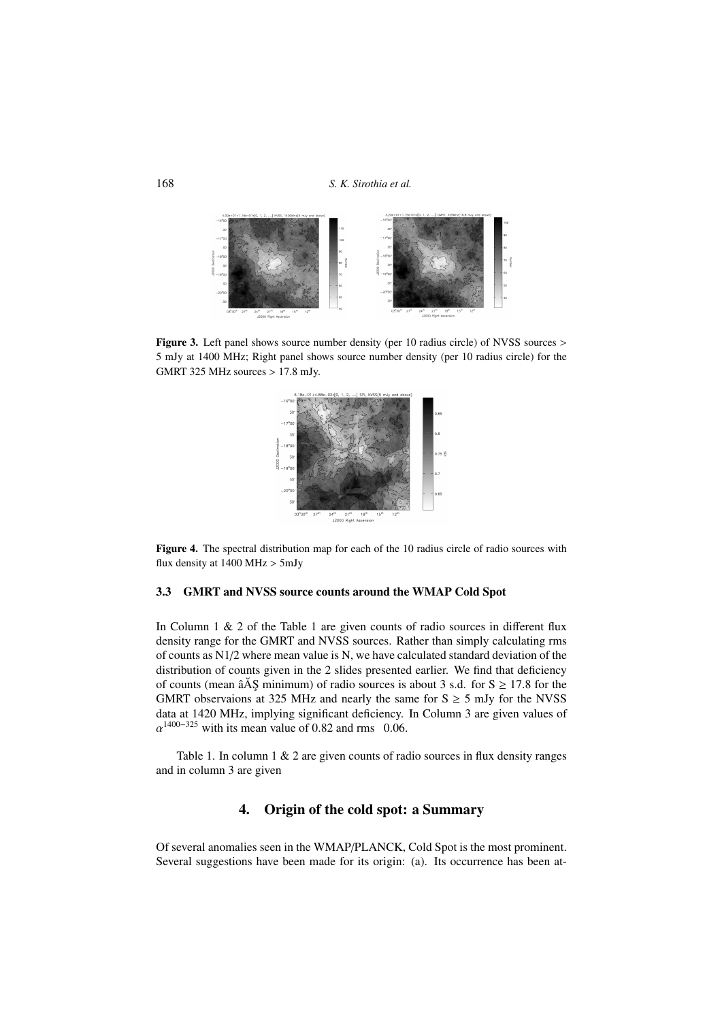168 *S. K. Sirothia et al.*



Figure 3. Left panel shows source number density (per 10 radius circle) of NVSS sources > 5 mJy at 1400 MHz; Right panel shows source number density (per 10 radius circle) for the GMRT 325 MHz sources > 17.8 mJy.



Figure 4. The spectral distribution map for each of the 10 radius circle of radio sources with flux density at 1400 MHz > 5mJy

#### 3.3 GMRT and NVSS source counts around the WMAP Cold Spot

In Column  $1 \& 2$  of the Table 1 are given counts of radio sources in different flux density range for the GMRT and NVSS sources. Rather than simply calculating rms of counts as N1/2 where mean value is N, we have calculated standard deviation of the distribution of counts given in the 2 slides presented earlier. We find that deficiency of counts (mean  $\hat{a}$ AS minimum) of radio sources is about 3 s.d. for S  $> 17.8$  for the GMRT observaions at 325 MHz and nearly the same for  $S \ge 5$  mJy for the NVSS data at 1420 MHz, implying significant deficiency. In Column 3 are given values of  $\alpha^{1400-325}$  with its mean value of 0.82 and rms 0.06.

Table 1. In column  $1 \& 2$  are given counts of radio sources in flux density ranges and in column 3 are given

### 4. Origin of the cold spot: a Summary

Of several anomalies seen in the WMAP/PLANCK, Cold Spot is the most prominent. Several suggestions have been made for its origin: (a). Its occurrence has been at-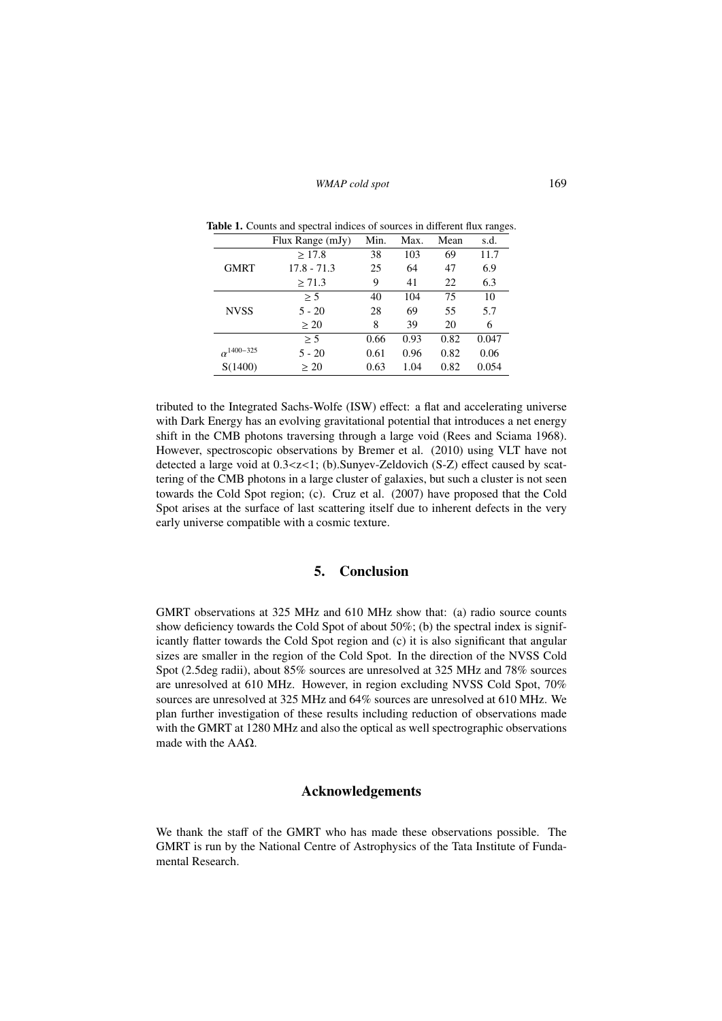|                     | Flux Range (mJy) | Min. | Max. | Mean | s.d.  |
|---------------------|------------------|------|------|------|-------|
|                     | >17.8            | 38   | 103  | 69   | 11.7  |
| <b>GMRT</b>         | $17.8 - 71.3$    | 25   | 64   | 47   | 6.9   |
|                     | $\geq 71.3$      | 9    | 41   | 22   | 6.3   |
|                     | > 5              | 40   | 104  | 75   | 10    |
| <b>NVSS</b>         | $5 - 20$         | 28   | 69   | 55   | 5.7   |
|                     | > 20             | 8    | 39   | 20   | 6     |
|                     | > 5              | 0.66 | 0.93 | 0.82 | 0.047 |
| $\alpha^{1400-325}$ | $5 - 20$         | 0.61 | 0.96 | 0.82 | 0.06  |
| S(1400)             | $\geq 20$        | 0.63 | 1.04 | 0.82 | 0.054 |

Table 1. Counts and spectral indices of sources in different flux ranges.

tributed to the Integrated Sachs-Wolfe (ISW) effect: a flat and accelerating universe with Dark Energy has an evolving gravitational potential that introduces a net energy shift in the CMB photons traversing through a large void (Rees and Sciama 1968). However, spectroscopic observations by Bremer et al. (2010) using VLT have not detected a large void at 0.3<z<1; (b).Sunyev-Zeldovich (S-Z) effect caused by scattering of the CMB photons in a large cluster of galaxies, but such a cluster is not seen towards the Cold Spot region; (c). Cruz et al. (2007) have proposed that the Cold Spot arises at the surface of last scattering itself due to inherent defects in the very early universe compatible with a cosmic texture.

### 5. Conclusion

GMRT observations at 325 MHz and 610 MHz show that: (a) radio source counts show deficiency towards the Cold Spot of about 50%; (b) the spectral index is significantly flatter towards the Cold Spot region and (c) it is also significant that angular sizes are smaller in the region of the Cold Spot. In the direction of the NVSS Cold Spot (2.5deg radii), about 85% sources are unresolved at 325 MHz and 78% sources are unresolved at 610 MHz. However, in region excluding NVSS Cold Spot, 70% sources are unresolved at 325 MHz and 64% sources are unresolved at 610 MHz. We plan further investigation of these results including reduction of observations made with the GMRT at 1280 MHz and also the optical as well spectrographic observations made with the AAΩ.

# Acknowledgements

We thank the staff of the GMRT who has made these observations possible. The GMRT is run by the National Centre of Astrophysics of the Tata Institute of Fundamental Research.